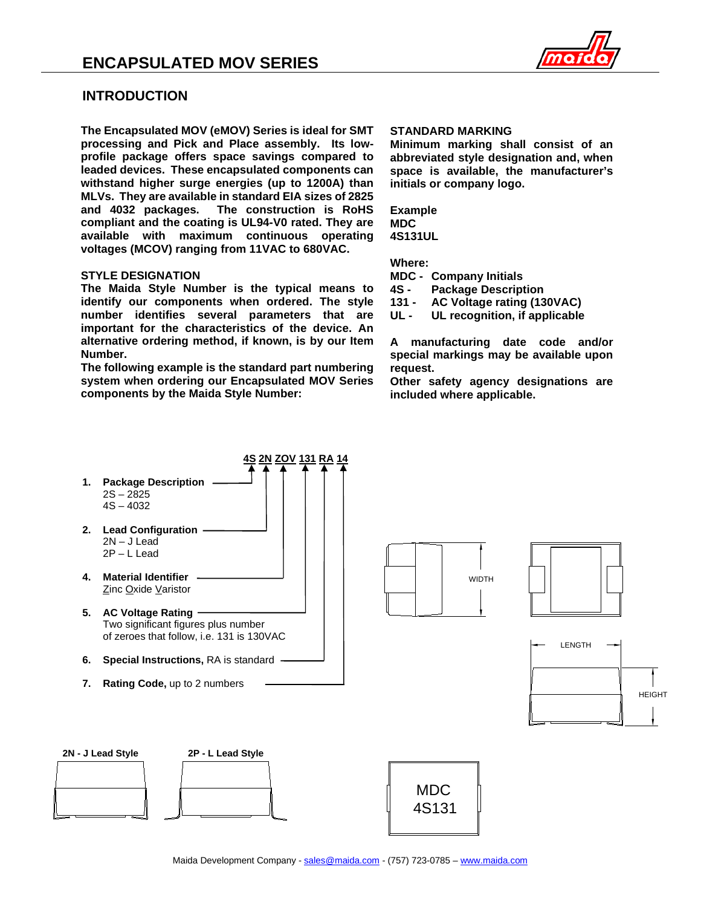

## **INTRODUCTION**

**The Encapsulated MOV (eMOV) Series is ideal for SMT processing and Pick and Place assembly. Its lowprofile package offers space savings compared to leaded devices. These encapsulated components can withstand higher surge energies (up to 1200A) than MLVs. They are available in standard EIA sizes of 2825 and 4032 packages. The construction is RoHS compliant and the coating is UL94-V0 rated. They are available with maximum continuous operating voltages (MCOV) ranging from 11VAC to 680VAC.**

### **STYLE DESIGNATION**

**The Maida Style Number is the typical means to identify our components when ordered. The style number identifies several parameters that are important for the characteristics of the device. An alternative ordering method, if known, is by our Item Number.**

**The following example is the standard part numbering system when ordering our Encapsulated MOV Series components by the Maida Style Number:**

#### **STANDARD MARKING**

**Minimum marking shall consist of an abbreviated style designation and, when space is available, the manufacturer's initials or company logo.**

**Example MDC 4S131UL**

**Where:**

**MDC - Company Initials**

**Package Description** 

**131 - AC Voltage rating (130VAC)**

UL recognition, if applicable

**A manufacturing date code and/or special markings may be available upon request.**

**Other safety agency designations are included where applicable.**

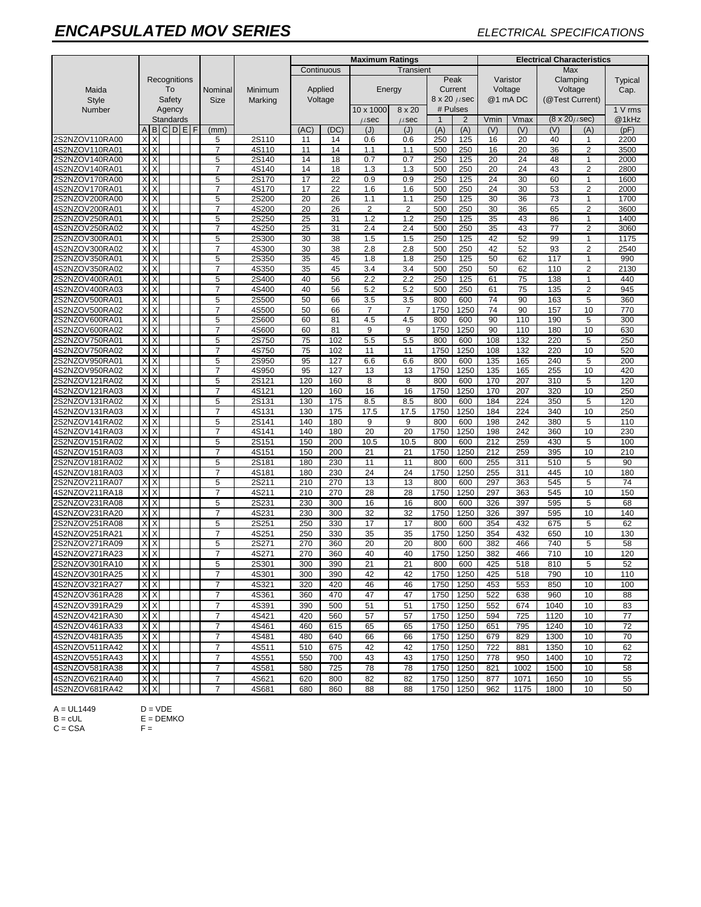# *ENCAPSULATED MOV SERIES ELECTRICAL SPECIFICATIONS*

|                                  |                         |                   | <b>Maximum Ratings</b> |  |         |                         |                |            | <b>Electrical Characteristics</b> |                         |                     |                |                     |                 |            |                                |                     |              |
|----------------------------------|-------------------------|-------------------|------------------------|--|---------|-------------------------|----------------|------------|-----------------------------------|-------------------------|---------------------|----------------|---------------------|-----------------|------------|--------------------------------|---------------------|--------------|
|                                  |                         |                   |                        |  |         | Transient<br>Continuous |                |            |                                   |                         | Max                 |                |                     |                 |            |                                |                     |              |
|                                  | Recognitions            |                   |                        |  | Minimum | Applied                 |                |            | Peak<br>Current                   |                         | Varistor<br>Voltage |                | Clamping<br>Voltage |                 | Typical    |                                |                     |              |
| Maida                            | To                      |                   |                        |  |         |                         |                | Nominal    |                                   |                         |                     |                |                     |                 | Energy     |                                | Cap.                |              |
| <b>Style</b>                     | Safety                  |                   |                        |  | Size    | Voltage<br>Marking      |                |            |                                   | $8 \times 20 \ \mu sec$ |                     | @1 mADC        |                     | (@Test Current) |            |                                |                     |              |
| Number                           |                         | Agency            |                        |  |         |                         |                |            | 10 x 1000<br>8 x 20               |                         |                     | # Pulses       |                     |                 |            |                                |                     |              |
|                                  |                         | <b>Standards</b>  |                        |  |         |                         |                |            | $\mu$ sec                         | $\mu$ sec               | 1                   | $\overline{2}$ | Vmin                | Vmax            |            | $(8 \times 20 \mu \text{sec})$ | @1kHz               |              |
|                                  | A                       | <b>BCDEF</b>      |                        |  |         | (mm)                    |                | (AC)       | (DC)                              | (J)                     | (J)                 | (A)            | (A)                 | (V)             | (V)        | (V)                            | (A)                 | (pF)         |
| 2S2NZOV110RA00                   | X                       | X                 |                        |  |         | 5                       | 2S110          | 11         | 14                                | 0.6                     | 0.6                 | 250            | 125                 | 16              | 20         | 40                             | $\mathbf{1}$        | 2200         |
| 4S2NZOV110RA01                   | X                       | X                 |                        |  |         | $\overline{7}$          | 4S110          | 11         | 14                                | 1.1                     | 1.1                 | 500            | 250                 | 16              | 20         | 36                             | $\overline{2}$      | 3500         |
| 2S2NZOV140RA00                   | $\times$                | $\times$          |                        |  |         | 5                       | 2S140          | 14         | 18                                | 0.7                     | 0.7                 | 250            | 125                 | 20              | 24         | 48                             | $\mathbf{1}$        | 2000         |
| 4S2NZOV140RA01                   | X                       | X                 |                        |  |         | 7                       | 4S140          | 14         | 18                                | 1.3                     | 1.3                 | 500            | 250                 | 20              | 24         | 43                             | $\overline{2}$      | 2800         |
| 2S2NZOV170RA00<br>4S2NZOV170RA01 | X<br>X                  | $\mathsf{X}$<br>X |                        |  |         | 5<br>$\overline{7}$     | 2S170<br>4S170 | 17<br>17   | 22<br>22                          | 0.9<br>1.6              | 0.9<br>1.6          | 250<br>500     | 125<br>250          | 24<br>24        | 30<br>30   | 60<br>53                       | 1<br>$\overline{2}$ | 1600<br>2000 |
| 2S2NZOV200RA00                   | XX                      |                   |                        |  |         | 5                       | 2S200          | 20         | 26                                | 1.1                     | 1.1                 | 250            | 125                 | 30              | 36         | 73                             | 1                   | 1700         |
| 4S2NZOV200RA01                   | XX                      |                   |                        |  |         | $\overline{7}$          | 4S200          | 20         | 26                                | 2                       | $\overline{2}$      | 500            | 250                 | 30              | 36         | 65                             | $\overline{2}$      | 3600         |
| 2S2NZOV250RA01                   | X                       | $\times$          |                        |  |         | 5                       | 2S250          | 25         | 31                                | 1.2                     | 1.2                 | 250            | 125                 | 35              | 43         | 86                             | 1                   | 1400         |
| 4S2NZOV250RA02                   | <b>XX</b>               |                   |                        |  |         | $\overline{7}$          | 4S250          | 25         | 31                                | 2.4                     | 2.4                 | 500            | 250                 | 35              | 43         | 77                             | $\overline{2}$      | 3060         |
| 2S2NZOV300RA01                   | X                       | X                 |                        |  |         | 5                       | 2S300          | 30         | 38                                | 1.5                     | 1.5                 | 250            | 125                 | 42              | 52         | 99                             | 1                   | 1175         |
| 4S2NZOV300RA02                   | $\times$                | $\times$          |                        |  |         | $\overline{7}$          | 4S300          | 30         | 38                                | 2.8                     | 2.8                 | 500            | 250                 | 42              | 52         | 93                             | $\overline{2}$      | 2540         |
| 2S2NZOV350RA01                   | X                       | X                 |                        |  |         | 5                       | 2S350          | 35         | 45                                | 1.8                     | 1.8                 | 250            | 125                 | 50              | 62         | 117                            | $\mathbf{1}$        | 990          |
| 4S2NZOV350RA02                   | $\times$                | X                 |                        |  |         | $\overline{7}$          | 4S350          | 35         | 45                                | 3.4                     | 3.4                 | 500            | 250                 | 50              | 62         | 110                            | $\overline{2}$      | 2130         |
| 2S2NZOV400RA01                   | X                       | X                 |                        |  |         | 5                       | 2S400          | 40         | 56                                | 2.2                     | 2.2                 | 250            | 125                 | 61              | 75         | 138                            | 1                   | 440          |
| 4S2NZOV400RA03                   | X                       | X                 |                        |  |         | $\overline{7}$          | 4S400          | 40         | 56                                | 5.2                     | 5.2                 | 500            | 250                 | 61              | 75         | 135                            | $\overline{2}$      | 945          |
| 2S2NZOV500RA01                   | X                       | X                 |                        |  |         | 5                       | 2S500          | 50         | 66                                | 3.5                     | 3.5                 | 800            | 600                 | 74              | 90         | 163                            | 5                   | 360          |
| 4S2NZOV500RA02                   | X                       | X                 |                        |  |         | $\overline{7}$          | 4S500          | 50         | 66                                | $\overline{7}$          | $\overline{7}$      | 1750           | 1250                | 74              | 90         | 157                            | 10                  | 770          |
| 2S2NZOV600RA01                   | X                       | X                 |                        |  |         | 5                       | 2S600          | 60         | 81                                | 4.5                     | 4.5                 | 800            | 600                 | 90              | 110        | 190                            | 5                   | 300          |
| 4S2NZOV600RA02                   | X                       | X                 |                        |  |         | $\overline{7}$          | 4S600          | 60         | 81                                | 9                       | 9                   | 1750           | 1250                | 90              | 110        | 180                            | 10                  | 630          |
| 2S2NZOV750RA01                   | Х                       | X                 |                        |  |         | 5                       | 2S750          | 75         | 102                               | 5.5                     | 5.5                 | 800            | 600                 | 108             | 132        | 220                            | 5                   | 250          |
| 4S2NZOV750RA02                   | X                       | X                 |                        |  |         | $\overline{7}$          | 4S750          | 75         | 102                               | 11                      | 11                  | 1750           | 1250                | 108             | 132        | 220                            | 10                  | 520          |
| 2S2NZOV950RA01                   | X                       | X                 |                        |  |         | 5                       | 2S950          | 95         | 127                               | 6.6                     | 6.6                 | 800            | 600                 | 135             | 165        | 240                            | 5                   | 200          |
| 4S2NZOV950RA02                   | X                       | X                 |                        |  |         | $\overline{7}$          | 4S950          | 95         | 127                               | 13                      | 13                  | 1750           | 1250                | 135             | 165        | 255                            | 10                  | 420          |
| 2S2NZOV121RA02                   | $X$ $X$                 |                   |                        |  |         | 5                       | 2S121          | 120        | 160                               | 8                       | 8                   | 800            | 600                 | 170             | 207        | 310                            | 5                   | 120          |
| 4S2NZOV121RA03                   | $X$ $X$                 |                   |                        |  |         | $\overline{7}$          | 4S121          | 120        | 160                               | 16                      | 16                  | 1750           | 1250                | 170             | 207        | 320                            | 10                  | 250          |
| 2S2NZOV131RA02                   | XX                      |                   |                        |  |         | 5                       | 2S131          | 130        | 175                               | 8.5                     | 8.5                 | 800            | 600                 | 184             | 224        | 350                            | 5                   | 120          |
| 4S2NZOV131RA03                   | X                       | $\times$          |                        |  |         | $\overline{7}$          | 4S131          | 130        | 175                               | 17.5                    | 17.5                | 1750           | 1250                | 184             | 224        | 340                            | 10                  | 250          |
| 2S2NZOV141RA02                   | $\times$                | $\times$          |                        |  |         | 5                       | 2S141          | 140        | 180                               | 9                       | 9                   | 800            | 600                 | 198             | 242        | 380                            | 5                   | 110          |
| 4S2NZOV141RA03                   | $\overline{\mathsf{x}}$ | $\times$          |                        |  |         | $\overline{7}$          | 4S141          | 140        | 180                               | 20                      | 20                  | 1750           | 1250                | 198             | 242        | 360                            | 10                  | 230          |
| 2S2NZOV151RA02<br>4S2NZOV151RA03 | X X<br>X                | X                 |                        |  |         | 5<br>$\overline{7}$     | 2S151<br>4S151 | 150<br>150 | 200<br>200                        | 10.5<br>21              | 10.5                | 800<br>1750    | 600<br>1250         | 212<br>212      | 259<br>259 | 430<br>395                     | 5<br>10             | 100<br>210   |
| 2S2NZOV181RA02                   | $\times$                | $\times$          |                        |  |         | 5                       | 2S181          | 180        | 230                               | 11                      | 21<br>11            | 800            | 600                 |                 | 311        | 510                            | 5                   | 90           |
| 4S2NZOV181RA03                   | X                       | X                 |                        |  |         | $\overline{7}$          | 4S181          | 180        | 230                               | 24                      | 24                  | 1750           | 1250                | 255<br>255      | 311        | 445                            | 10                  | 180          |
| 2S2NZOV211RA07                   | X X                     |                   |                        |  |         | $\overline{5}$          | 2S211          | 210        | 270                               | 13                      | 13                  | 800            | 600                 | 297             | 363        | 545                            | 5                   | 74           |
| 4S2NZOV211RA18                   | X                       | X                 |                        |  |         | $\overline{7}$          | 4S211          | 210        | 270                               | 28                      | 28                  | 1750           | 1250                | 297             | 363        | 545                            | 10                  | 150          |
| 2S2NZOV231RA08                   | $\times$                | $\times$          |                        |  |         | 5                       | 2S231          | 230        | 300                               | 16                      | 16                  | 800            | 600                 | 326             | 397        | 595                            | 5                   | 68           |
| 4S2NZOV231RA20                   | X                       | X                 |                        |  |         | $\overline{7}$          | 4S231          | 230        | 300                               | 32                      | 32                  | 1750           | 1250                | 326             | 397        | 595                            | 10                  | 140          |
| 2S2NZOV251RA08                   | XX                      |                   |                        |  |         | 5                       | 2S251          | 250        | 330                               | 17                      | 17                  | 800            | 600                 | 354             | 432        | 675                            | 5                   | 62           |
| 4S2NZOV251RA21                   | X                       | X                 |                        |  |         | $\overline{7}$          | 4S251          | 250        | 330                               | 35                      | 35                  | 1750           | 1250                | 354             | 432        | 650                            | 10                  | 130          |
| 2S2NZOV271RA09                   | X                       | X                 |                        |  |         | 5                       | 2S271          | 270        | 360                               | 20                      | 20                  | 800            | 600                 | 382             | 466        | 740                            | 5                   | 58           |
| 4S2NZOV271RA23                   | X                       | Χ                 |                        |  |         | $\overline{7}$          | 4S271          | 270        | 360                               | 40                      | 40                  | 1750           | 1250                | 382             | 466        | 710                            | 10                  | 120          |
| 2S2NZOV301RA10                   | XX                      |                   |                        |  |         | 5                       | 2S301          | 300        | 390                               | $\overline{21}$         | 21                  | 800            | 600                 | 425             | 518        | 810                            | 5                   | 52           |
| 4S2NZOV301RA25                   | X X                     |                   |                        |  |         | $\overline{7}$          | 4S301          | 300        | 390                               | 42                      | 42                  | 1750           | 1250                | 425             | 518        | 790                            | 10                  | 110          |
| 4S2NZOV321RA27                   | XX                      |                   |                        |  |         | $\overline{7}$          | 4S321          | 320        | 420                               | 46                      | 46                  | 1750           | 1250                | 453             | 553        | 850                            | 10                  | 100          |
| 4S2NZOV361RA28                   | XX                      |                   |                        |  |         | 7                       | 4S361          | 360        | 470                               | 47                      | 47                  | 1750           | 1250                | 522             | 638        | 960                            | 10                  | 88           |
| 4S2NZOV391RA29                   | XX                      |                   |                        |  |         | 7                       | 4S391          | 390        | 500                               | 51                      | 51                  |                | 1750 1250           | 552             | 674        | 1040                           | 10                  | 83           |
| 4S2NZOV421RA30                   | XX                      |                   |                        |  |         | 7                       | 4S421          | 420        | 560                               | 57                      | 57                  | 1750           | 1250                | 594             | 725        | 1120                           | 10                  | 77           |
| 4S2NZOV461RA33                   | XX                      |                   |                        |  |         | $\overline{7}$          | 4S461          | 460        | 615                               | 65                      | 65                  | 1750           | 1250                | 651             | 795        | 1240                           | 10                  | 72           |
| 4S2NZOV481RA35                   | XX                      |                   |                        |  |         | 7                       | 4S481          | 480        | 640                               | 66                      | 66                  | 1750           | 1250                | 679             | 829        | 1300                           | 10                  | 70           |
| 4S2NZOV511RA42                   | X X                     |                   |                        |  |         | $\overline{7}$          | 4S511          | 510        | 675                               | 42                      | 42                  | 1750           | 1250                | 722             | 881        | 1350                           | 10                  | 62           |
| 4S2NZOV551RA43                   | XX                      |                   |                        |  |         | 7                       | 4S551          | 550        | 700                               | 43                      | 43                  | 1750           | 1250                | 778             | 950        | 1400                           | 10                  | 72           |
| 4S2NZOV581RA38                   | X X                     |                   |                        |  |         | $\overline{7}$          | 4S581          | 580        | 725                               | 78                      | 78                  | 1750           | 1250                | 821             | 1002       | 1500                           | 10                  | 58           |
| 4S2NZOV621RA40                   | XX                      |                   |                        |  |         | 7                       | 4S621          | 620        | 800                               | 82                      | 82                  | 1750           | 1250                | 877             | 1071       | 1650                           | 10                  | 55           |
| 4S2NZOV681RA42                   | X X                     |                   |                        |  |         | $\overline{7}$          | 4S681          | 680        | 860                               | 88                      | 88                  |                | 1750 1250           | 962             | 1175       | 1800                           | 10                  | 50           |

A = UL1449 D = VDE

 $C = CSA$   $F =$ 

 $B = cUL$   $E = DEMKO$